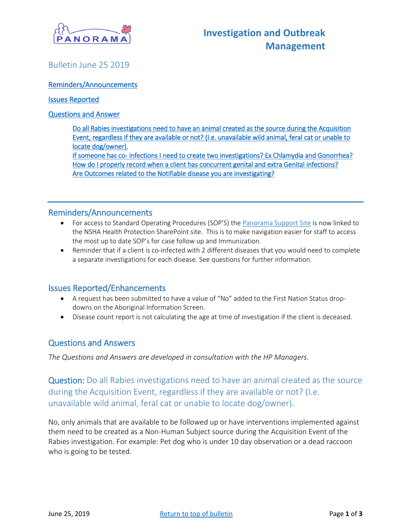

# <span id="page-0-0"></span>Bulletin June 25 2019

### [Reminders/Announcements](#page-0-0)

#### [Issues Reported](#page-0-1)

### [Questions and Answer](#page-0-2)

[Do all Rabies investigations need to have an animal created as the source during the Acquisition](#page-0-3)  [Event, regardless if they are available or not? \(I.e. unavailable wild animal, feral cat or unable to](#page-0-3)  [locate dog/owner\).](#page-0-3) 

[If someone has co- infections I need to create two investigations? Ex Chlamydia and Gonorrhea?](#page-1-0)  [How do I properly record when a client has concurrent genital and extra Genital infections?](#page-2-0)  [Are Outcomes related to the Notifiable disease you are investigating?](#page-2-1) 

## Reminders/Announcements

- For access to Standard Operating Procedures (SOP'S) the [Panorama Support Site](https://support.novascotia.ca/applications/panorama) is now linked to the NSHA Health Protection SharePoint site. This is to make navigation easier for staff to access the most up to date SOP's for case follow up and Immunization.
- Reminder that if a client is co-infected with 2 different diseases that you would need to complete a separate investigations for each disease. See questions for further information.

## <span id="page-0-1"></span>Issues Reported/Enhancements

- A request has been submitted to have a value of "No" added to the First Nation Status dropdowns on the Aboriginal Information Screen.
- Disease count report is not calculating the age at time of investigation if the client is deceased.

## <span id="page-0-2"></span>Questions and Answers

*The Questions and Answers are developed in consultation with the HP Managers.*

Question: Do all Rabies investigations need to have an animal created as the source during the Acquisition Event, regardless if they are available or not? (I.e. unavailable wild animal, feral cat or unable to locate dog/owner).

<span id="page-0-3"></span>No, only animals that are available to be followed up or have interventions implemented against them need to be created as a Non-Human Subject source during the Acquisition Event of the Rabies investigation. For example: Pet dog who is under 10 day observation or a dead raccoon who is going to be tested.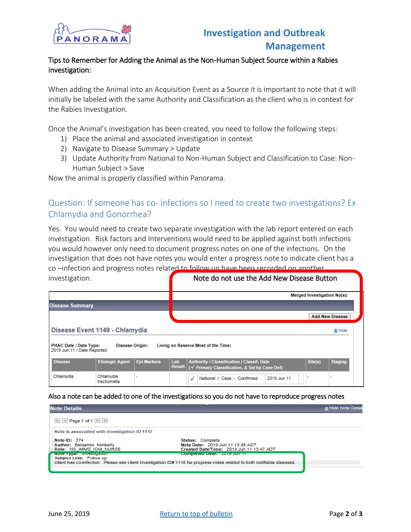

## Tips to Remember for Adding the Animal as the Non-Human Subject Source within a Rabies investigation:

When adding the Animal into an Acquisition Event as a Source it is important to note that it will initially be labeled with the same Authority and Classification as the client who is in context for the Rabies Investigation.

Once the Animal's investigation has been created, you need to follow the following steps:

- 1) Place the animal and associated investigation in context
- 2) Navigate to Disease Summary > Update
- 3) Update Authority from National to Non-Human Subject and Classification to Case: Non-Human Subject > Save

Now the animal is properly classified within Panorama.

# <span id="page-1-0"></span>Question: If someone has co- infections so I need to create two investigations? Ex Chlamydia and Gonorrhea?

Yes. You would need to create two separate investigation with the lab report entered on each investigation. Risk factors and Interventions would need to be applied against both infections you would however only need to document progress notes on one of the infections. On the investigation that does not have notes you would enter a progress note to indicate client has a co –infection and progress notes related to follow up have been recorded on another investigation. **Note do not use the Add New Disease Button** 

| .                                                                                                                      |                                |                    |     |                                                                                                                             |                                    |                        |  |  |
|------------------------------------------------------------------------------------------------------------------------|--------------------------------|--------------------|-----|-----------------------------------------------------------------------------------------------------------------------------|------------------------------------|------------------------|--|--|
|                                                                                                                        |                                |                    |     |                                                                                                                             | <b>Merged Investigation No(s):</b> |                        |  |  |
| <b>Disease Summary</b>                                                                                                 |                                |                    |     |                                                                                                                             |                                    |                        |  |  |
|                                                                                                                        |                                |                    |     |                                                                                                                             |                                    | <b>Add New Disease</b> |  |  |
|                                                                                                                        | Disease Event 1149 - Chlamydia |                    |     |                                                                                                                             |                                    | <b>☆</b> Hide          |  |  |
| Living on Reserve Most of the Time:<br>PHAC Date / Date Type:<br><b>Disease Origin:</b><br>2019 Jun 11 / Date Reported |                                |                    |     |                                                                                                                             |                                    |                        |  |  |
| <b>Disease</b>                                                                                                         | <b>Etiologic Agent</b>         | <b>Epi Markers</b> | Lab | <b>Authority / Classification   Classif. Date</b><br>Result $\sqrt{\rho}$ Primary Classification, $\Delta$ Set by Case Def) | Site(s)                            | <b>Staging</b>         |  |  |
| Chlamydia                                                                                                              | Chlamydia<br>trachomatis       |                    |     | National / Case - Confirmed<br>2019 Jun 11                                                                                  |                                    |                        |  |  |

Also a note can be added to one of the investigations so you do not have to reproduce progress notes

| <b>Note Details</b>                                                                                                                                                                |                                                                                                  | A Hide Note Detail |  |  |
|------------------------------------------------------------------------------------------------------------------------------------------------------------------------------------|--------------------------------------------------------------------------------------------------|--------------------|--|--|
| $\mathbb{N}$ $\leq$ Page 1 of 1 $\mathbb{N}$ $\mathbb{N}$                                                                                                                          |                                                                                                  |                    |  |  |
| Note is associated with Investigation ID 1117                                                                                                                                      |                                                                                                  |                    |  |  |
| Note $ID: 374$<br><b>Author: Benjamin, Kimberly</b><br>Role: NS IMMS IOM NURSE                                                                                                     | Status: Complete<br>Note Date: 2019 Jun 11 13:45 ADT<br>Created Date/Time: 2019 Jun 11 13:47 ADT |                    |  |  |
| TIVOLE TYPE: Investigation<br>Subject Line: Follow up<br>Client has co-infection. Please see client Investigation ID# 1116 for progress notes related to both notifiable diseases. |                                                                                                  |                    |  |  |
|                                                                                                                                                                                    |                                                                                                  |                    |  |  |